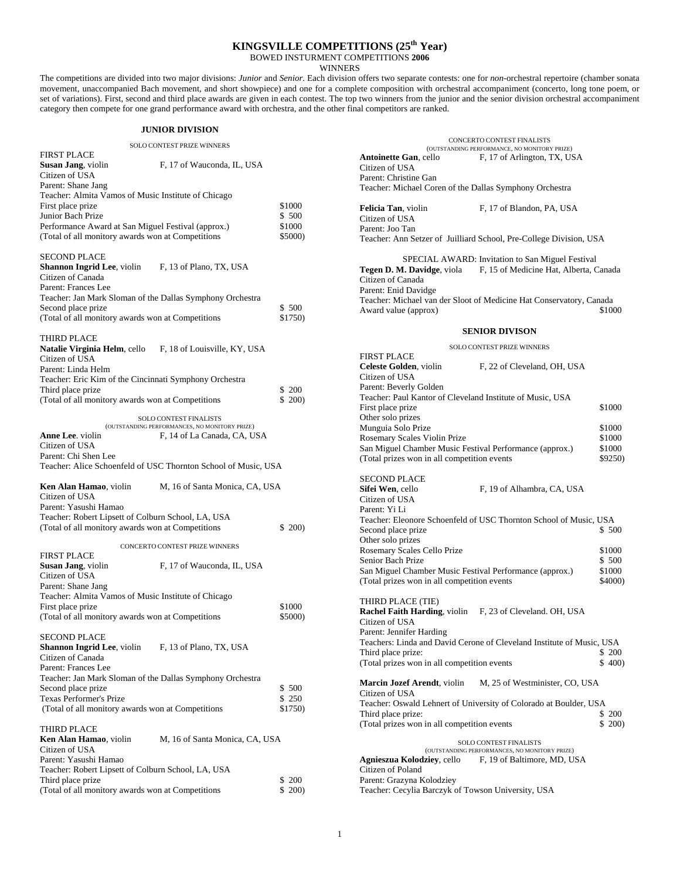# **KINGSVILLE COMPETITIONS (25th Year)**

BOWED INSTURMENT COMPETITIONS **2006**

**WINNERS** 

The competitions are divided into two major divisions: *Junior* and *Senior*. Each division offers two separate contests: one for *non*-orchestral repertoire (chamber sonata movement, unaccompanied Bach movement, and short showpiece) and one for a complete composition with orchestral accompaniment (concerto, long tone poem, or set of variations). First, second and third place awards are given in each contest. The top two winners from the junior and the senior division orchestral accompaniment category then compete for one grand performance award with orchestra, and the other final competitors are ranked.

### **JUNIOR DIVISION**

SOLO CONTEST PRIZE WINNERS

| <b>FIRST PLACE</b>                                  |                            |         |
|-----------------------------------------------------|----------------------------|---------|
| Susan Jang, violin                                  | F, 17 of Wauconda, IL, USA |         |
| Citizen of USA                                      |                            |         |
| Parent: Shane Jang                                  |                            |         |
| Teacher: Almita Vamos of Music Institute of Chicago |                            |         |
| First place prize                                   |                            | \$1000  |
| Junior Bach Prize                                   |                            | \$500   |
| Performance Award at San Miguel Festival (approx.)  |                            | \$1000  |
| (Total of all monitory awards won at Competitions)  |                            | \$5000) |
|                                                     |                            |         |

#### SECOND PLACE

| <b>Shannon Ingrid Lee</b> , violin                        | F, 13 of Plano, TX, USA |         |
|-----------------------------------------------------------|-------------------------|---------|
| Citizen of Canada                                         |                         |         |
| Parent: Frances Lee                                       |                         |         |
| Teacher: Jan Mark Sloman of the Dallas Symphony Orchestra |                         |         |
| Second place prize                                        |                         | \$500   |
| (Total of all monitory awards won at Competitions)        |                         | \$1750) |
|                                                           |                         |         |

#### THIRD PLACE

| Natalie Virginia Helm, cello                           | F. 18 of Louisville, KY, USA |       |
|--------------------------------------------------------|------------------------------|-------|
| Citizen of USA                                         |                              |       |
| Parent: Linda Helm                                     |                              |       |
| Teacher: Eric Kim of the Cincinnati Symphony Orchestra |                              |       |
| Third place prize                                      |                              | \$200 |
| (Total of all monitory awards won at Competitions)     |                              | \$200 |

SOLO CONTEST FINALISTS

(OUTSTANDING PERFORMANCES, NO MONITORY PRIZE) **Anne Lee**. violin F, 14 of La Canada, CA, USA Citizen of USA

Parent: Chi Shen Lee Teacher: Alice Schoenfeld of USC Thornton School of Music, USA

| <b>Ken Alan Hamao</b> . violin                     | M. 16 of Santa Monica, CA, USA |         |
|----------------------------------------------------|--------------------------------|---------|
| Citizen of USA                                     |                                |         |
| Parent: Yasushi Hamao                              |                                |         |
| Teacher: Robert Lipsett of Colburn School, LA, USA |                                |         |
| (Total of all monitory awards won at Competitions) |                                | \$ 200) |

|                                                     | <b>CONCERTO CONTEST PRIZE WINNERS</b> |        |
|-----------------------------------------------------|---------------------------------------|--------|
| <b>FIRST PLACE</b>                                  |                                       |        |
| Susan Jang, violin                                  | F, 17 of Wauconda, IL, USA            |        |
| Citizen of USA                                      |                                       |        |
| Parent: Shane Jang                                  |                                       |        |
| Teacher: Almita Vamos of Music Institute of Chicago |                                       |        |
| First place prize                                   |                                       | \$1000 |
| (Total of all monitory awards won at Competitions)  |                                       |        |
|                                                     |                                       |        |
| <b>SECOND PLACE</b>                                 |                                       |        |
| <b>Shannon Ingrid Lee</b> , violin                  | F, 13 of Plano, TX, USA               |        |
| Citizen of Canada                                   |                                       |        |

| Parent: Frances Lee                                       |         |
|-----------------------------------------------------------|---------|
| Teacher: Jan Mark Sloman of the Dallas Symphony Orchestra |         |
| Second place prize                                        | \$500   |
| Texas Performer's Prize                                   | \$250   |
| (Total of all monitory awards won at Competitions)        | \$1750) |
| THIRD PLACE                                               |         |

| <b>Ken Alan Hamao</b> , violin                     | M. 16 of Santa Monica, CA, USA |       |
|----------------------------------------------------|--------------------------------|-------|
| Citizen of USA                                     |                                |       |
| Parent: Yasushi Hamao                              |                                |       |
| Teacher: Robert Lipsett of Colburn School, LA, USA |                                |       |
| Third place prize                                  |                                | \$200 |
| (Total of all monitory awards won at Competitions) |                                | \$200 |

CONCERTO CONTEST FINALISTS (OUTSTANDING PERFORMANCE, NO MONITORY PRIZE) Antoinette Gan, cello F, 17 of Arlington, TX, USA Citizen of USA Parent: Christine Gan Teacher: Michael Coren of the Dallas Symphony Orchestra Felicia Tan, violin F, 17 of Blandon, PA, USA Citizen of USA Parent: Joo Tan Teacher: Ann Setzer of Juilliard School, Pre-College Division, USA SPECIAL AWARD: Invitation to San Miguel Festival Tegen D. M. Davidge, viola F, 15 of Medicine Hat, Alberta, Canada Citizen of Canada Parent: Enid Davidge Teacher: Michael van der Sloot of Medicine Hat Conservatory, Canada Award value (approx) \$1000 **SENIOR DIVISON**  SOLO CONTEST PRIZE WINNERS FIRST PLACE **Celeste Golden**, violin F, 22 of Cleveland, OH, USA Citizen of USA Parent: Beverly Golden Teacher: Paul Kantor of Cleveland Institute of Music, USA First place prize  $$1000$ Other solo prizes Munguia Solo Prize  $$1000$ Rosemary Scales Violin Prize  $$1000$ San Miguel Chamber Music Festival Performance (approx.) \$1000<br>(Total prizes won in all competition events \$9250) (Total prizes won in all competition events SECOND PLACE<br>Sifei Wen, cello F, 19 of Alhambra, CA, USA Citizen of USA Parent: Yi Li Teacher: Eleonore Schoenfeld of USC Thornton School of Music, USA Second place prize Other solo prizes Rosemary Scales Cello Prize 51000<br>
Senior Bach Prize 51000<br>
\$1000<br>
\$500 Senior Bach Prize San Miguel Chamber Music Festival Performance (approx.) \$1000 (Total prizes won in all competition events \$4000) THIRD PLACE (TIE) **Rachel Faith Harding**, violin F, 23 of Cleveland. OH, USA Citizen of USA Parent: Jennifer Harding Teachers: Linda and David Cerone of Cleveland Institute of Music, USA Third place prize: \$200 (Total prizes won in all competition events \$ 400) **Marcin Jozef Arendt**, violin M, 25 of Westminister, CO, USA Citizen of USA Teacher: Oswald Lehnert of University of Colorado at Boulder, USA Third place prize: \$ 200<br>(Total prizes won in all competition events \$ 200) \$ 300) (Total prizes won in all competition events SOLO CONTEST FINALISTS (OUTSTANDING PERFORMANCES, NO MONITORY PRIZE)<br>**Agnieszua Kolodziey**, cello F, 19 of Baltimore, MD, U F, 19 of Baltimore, MD, USA Citizen of Poland Parent: Grazyna Kolodziey Teacher: Cecylia Barczyk of Towson University, USA